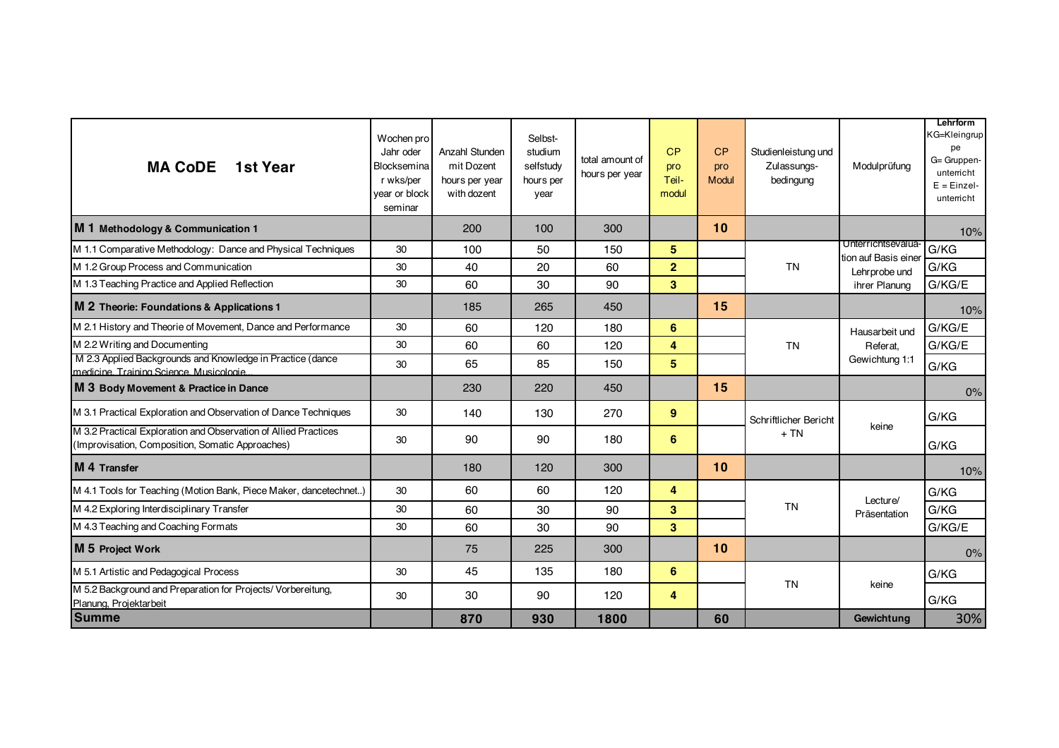| <b>MA CoDE</b> 1st Year                                                                                             | Wochen pro<br>Jahr oder<br>Blocksemina<br>r wks/per<br>year or block<br>seminar | Anzahl Stunden<br>mit Dozent<br>hours per year<br>with dozent | Selbst-<br>studium<br>selfstudy<br>hours per<br>year | total amount of<br>hours per year | CP<br>pro<br>Teil-<br>modul | CP<br>pro<br>Modul | Studienleistung und<br>Zulassungs-<br>bedingung | Modulprüfung                                                                | Lehrform<br>KG=Kleingrup<br>pe<br>G= Gruppen-<br>unterricht<br>$E = Einzel-$<br>unterricht |
|---------------------------------------------------------------------------------------------------------------------|---------------------------------------------------------------------------------|---------------------------------------------------------------|------------------------------------------------------|-----------------------------------|-----------------------------|--------------------|-------------------------------------------------|-----------------------------------------------------------------------------|--------------------------------------------------------------------------------------------|
| M 1 Methodology & Communication 1                                                                                   |                                                                                 | 200                                                           | 100                                                  | 300                               |                             | 10                 |                                                 |                                                                             | 10%                                                                                        |
| M 1.1 Comparative Methodology: Dance and Physical Techniques                                                        | 30                                                                              | 100                                                           | 50                                                   | 150                               | 5                           |                    | <b>TN</b>                                       | Unterrichtsevalua-<br>tion auf Basis eine<br>Lehrprobe und<br>ihrer Planung | G/KG                                                                                       |
| M 1.2 Group Process and Communication                                                                               | 30                                                                              | 40                                                            | 20                                                   | 60                                | $\overline{2}$              |                    |                                                 |                                                                             | G/KG                                                                                       |
| M 1.3 Teaching Practice and Applied Reflection                                                                      | 30                                                                              | 60                                                            | 30                                                   | 90                                | $\overline{\mathbf{3}}$     |                    |                                                 |                                                                             | G/KG/E                                                                                     |
| M 2 Theorie: Foundations & Applications 1                                                                           |                                                                                 | 185                                                           | 265                                                  | 450                               |                             | 15                 |                                                 |                                                                             | 10%                                                                                        |
| M 2.1 History and Theorie of Movement, Dance and Performance                                                        | 30                                                                              | 60                                                            | 120                                                  | 180                               | 6                           |                    | <b>TN</b>                                       | Hausarbeit und<br>Referat.<br>Gewichtung 1:1                                | G/KG/E                                                                                     |
| M 2.2 Writing and Documenting                                                                                       | 30                                                                              | 60                                                            | 60                                                   | 120                               | 4                           |                    |                                                 |                                                                             | G/KG/E                                                                                     |
| M 2.3 Applied Backgrounds and Knowledge in Practice (dance<br>medicine Training Science Musicologie                 | 30                                                                              | 65                                                            | 85                                                   | 150                               | $5\phantom{1}$              |                    |                                                 |                                                                             | G/KG                                                                                       |
| M 3 Body Movement & Practice in Dance                                                                               |                                                                                 | 230                                                           | 220                                                  | 450                               |                             | 15                 |                                                 |                                                                             | 0%                                                                                         |
| M 3.1 Practical Exploration and Observation of Dance Techniques                                                     | 30                                                                              | 140                                                           | 130                                                  | 270                               | 9                           |                    | Schriftlicher Bericht<br>$+TN$                  | keine                                                                       | G/KG                                                                                       |
| M 3.2 Practical Exploration and Observation of Allied Practices<br>(Improvisation, Composition, Somatic Approaches) | 30                                                                              | 90                                                            | 90                                                   | 180                               | 6                           |                    |                                                 |                                                                             | G/KG                                                                                       |
| M 4 Transfer                                                                                                        |                                                                                 | 180                                                           | 120                                                  | 300                               |                             | 10                 |                                                 |                                                                             | 10%                                                                                        |
| M 4.1 Tools for Teaching (Motion Bank, Piece Maker, dancetechnet)                                                   | 30                                                                              | 60                                                            | 60                                                   | 120                               | 4                           |                    | <b>TN</b>                                       | Lecture/<br>Präsentation                                                    | G/KG                                                                                       |
| M 4.2 Exploring Interdisciplinary Transfer                                                                          | 30                                                                              | 60                                                            | 30                                                   | 90                                | $\overline{\mathbf{3}}$     |                    |                                                 |                                                                             | G/KG                                                                                       |
| M 4.3 Teaching and Coaching Formats                                                                                 | 30                                                                              | 60                                                            | 30                                                   | 90                                | $\mathbf{3}$                |                    |                                                 |                                                                             | G/KG/E                                                                                     |
| M 5 Project Work                                                                                                    |                                                                                 | 75                                                            | 225                                                  | 300                               |                             | 10                 |                                                 |                                                                             | 0%                                                                                         |
| M 5.1 Artistic and Pedagogical Process                                                                              | 30                                                                              | 45                                                            | 135                                                  | 180                               | 6                           |                    | <b>TN</b>                                       | keine                                                                       | G/KG                                                                                       |
| M 5.2 Background and Preparation for Projects/ Vorbereitung,<br>Planung, Projektarbeit                              | 30                                                                              | 30                                                            | 90                                                   | 120                               | 4                           |                    |                                                 |                                                                             | G/KG                                                                                       |
| <b>Summe</b>                                                                                                        |                                                                                 | 870                                                           | 930                                                  | 1800                              |                             | 60                 |                                                 | Gewichtung                                                                  | 30%                                                                                        |